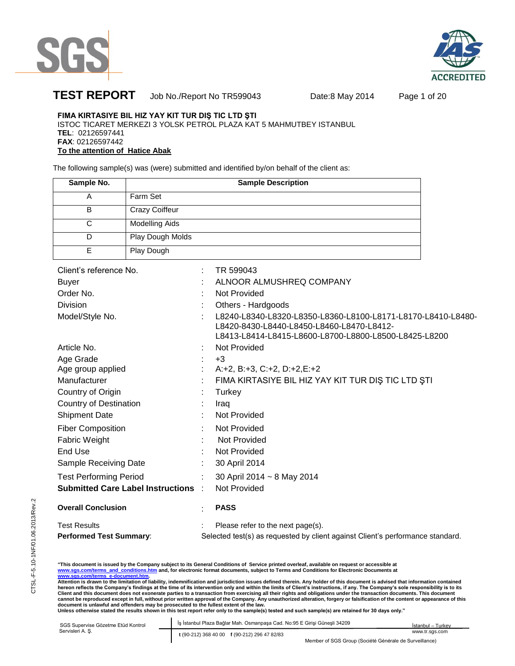



# **TEST REPORT** Job No./Report No TR599043 Date:8 May 2014 Page 1 of 20

# **FIMA KIRTASIYE BIL HIZ YAY KIT TUR DIŞ TIC LTD ŞTI**

ISTOC TICARET MERKEZI 3 YOLSK PETROL PLAZA KAT 5 MAHMUTBEY ISTANBUL **TEL**: 02126597441 **FAX**: 02126597442 **To the attention of Hatice Abak** 

The following sample(s) was (were) submitted and identified by/on behalf of the client as:

| Sample No. | <b>Sample Description</b> |
|------------|---------------------------|
| А          | Farm Set                  |
| B          | <b>Crazy Coiffeur</b>     |
| С          | <b>Modelling Aids</b>     |
|            | Play Dough Molds          |
|            | Play Dough                |

| Client's reference No.                   |   | TR 599043                                                                                                                                                          |
|------------------------------------------|---|--------------------------------------------------------------------------------------------------------------------------------------------------------------------|
| Buyer                                    |   | ALNOOR ALMUSHREQ COMPANY                                                                                                                                           |
| Order No.                                |   | Not Provided                                                                                                                                                       |
| Division                                 |   | Others - Hardgoods                                                                                                                                                 |
| Model/Style No.                          |   | L8240-L8340-L8320-L8350-L8360-L8100-L8171-L8170-L8410-L8480-<br>L8420-8430-L8440-L8450-L8460-L8470-L8412-<br>L8413-L8414-L8415-L8600-L8700-L8800-L8500-L8425-L8200 |
| Article No.                              |   | Not Provided                                                                                                                                                       |
| Age Grade                                |   | $+3$                                                                                                                                                               |
| Age group applied                        |   | $A: +2, B: +3, C: +2, D: +2, E: +2$                                                                                                                                |
| Manufacturer                             |   | FIMA KIRTASIYE BIL HIZ YAY KIT TUR DIŞ TIC LTD ŞTI                                                                                                                 |
| Country of Origin                        |   | Turkey                                                                                                                                                             |
| <b>Country of Destination</b>            |   | Iraq                                                                                                                                                               |
| <b>Shipment Date</b>                     |   | <b>Not Provided</b>                                                                                                                                                |
| <b>Fiber Composition</b>                 |   | Not Provided                                                                                                                                                       |
| <b>Fabric Weight</b>                     |   | Not Provided                                                                                                                                                       |
| End Use                                  |   | Not Provided                                                                                                                                                       |
| Sample Receiving Date                    |   | 30 April 2014                                                                                                                                                      |
| <b>Test Performing Period</b>            | ÷ | 30 April 2014 ~ 8 May 2014                                                                                                                                         |
| <b>Submitted Care Label Instructions</b> |   | <b>Not Provided</b>                                                                                                                                                |
| <b>Overall Conclusion</b>                |   | <b>PASS</b>                                                                                                                                                        |
| <b>Test Results</b>                      |   | Please refer to the next page(s).                                                                                                                                  |
| <b>Performed Test Summary:</b>           |   | Selected test(s) as requested by client against Client's performance standard.                                                                                     |

"This document is issued by the Company subject to its General Conditions of Service printed overleaf, available on request or accessible at<br><u>www.sqs.com/terms\_and\_conditions.htm</u> and, for electronic format documents, subj

hereon reflects the Company's findings at the time of its intervention only and within the limits of Client's instructions, if any. The Company's sole responsibility is to its<br>Client and this document does not exonerate pa document is unlawful and offenders may be prosecuted to the fullest extent of the law.<br>Unless otherwise stated the results shown in this test report refer only to the sample(s) tested and such sample(s) are retained for 30

×

| SGS Supervise Gözetme Etüd Kontrol | Is Istanbul Plaza Bağlar Mah, Osmanpasa Cad, No:95 E Girisi Günesli 34209<br>İstanbul - Turkey                                                      |                |  |  |
|------------------------------------|-----------------------------------------------------------------------------------------------------------------------------------------------------|----------------|--|--|
| Servisleri A. S.                   | t (90-212) 368 40 00 f (90-212) 296 47 82/83                                                                                                        | www.tr.sas.com |  |  |
|                                    | $\mathbf{u}$ , $\mathbf{u}$ , $\mathbf{u}$ , $\mathbf{u}$ , $\mathbf{u}$ , $\mathbf{u}$ , $\mathbf{u}$ , $\mathbf{u}$ , $\mathbf{u}$ , $\mathbf{u}$ |                |  |  |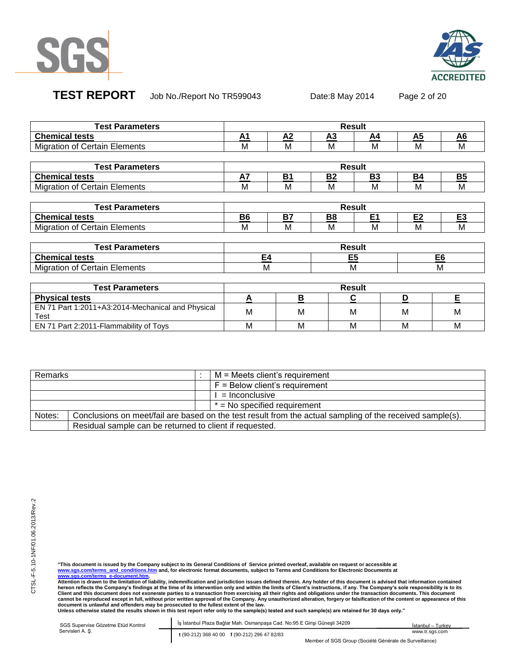



**TEST REPORT** Job No./Report No TR599043 Date:8 May 2014 Page 2 of 20

| <b>Test Parameters</b>                                    | <b>Result</b> |                |                |                |                |                |
|-----------------------------------------------------------|---------------|----------------|----------------|----------------|----------------|----------------|
| <b>Chemical tests</b>                                     | A1            | A <sub>2</sub> | A3             | A4             | A5             | A <sub>6</sub> |
| <b>Migration of Certain Elements</b>                      | М             | M              | М              | M              | M              | м              |
|                                                           |               |                |                |                |                |                |
| <b>Test Parameters</b>                                    |               |                |                | <b>Result</b>  |                |                |
| <b>Chemical tests</b>                                     | A7            | <b>B1</b>      | B <sub>2</sub> | <b>B3</b>      | <b>B4</b>      | <b>B5</b>      |
| <b>Migration of Certain Elements</b>                      | М             | м              | М              | М              | M              | м              |
|                                                           |               |                |                |                |                |                |
| <b>Test Parameters</b>                                    |               |                |                | <b>Result</b>  |                |                |
| <b>Chemical tests</b>                                     | <b>B6</b>     | <b>B7</b>      | B8             | E <sub>1</sub> | E <sub>2</sub> | E <sub>3</sub> |
| <b>Migration of Certain Elements</b>                      | М             | M              | м              | M              | М              | м              |
|                                                           |               |                |                |                |                |                |
| <b>Test Parameters</b>                                    |               |                |                | <b>Result</b>  |                |                |
| <b>Chemical tests</b>                                     | E4            |                |                | E5             |                | E6             |
| <b>Migration of Certain Elements</b>                      | M<br>M        |                | M              |                |                |                |
|                                                           |               |                |                |                |                |                |
| <b>Test Parameters</b>                                    |               |                |                | <b>Result</b>  |                |                |
| <b>Physical tests</b>                                     | A             | В              |                | С              | D              | E              |
| EN 71 Part 1:2011+A3:2014-Mechanical and Physical<br>Test | М             | M              |                | м              | M              | M              |

| Remarks        |                                                                                                           |  | $M =$ Meets client's requirement |
|----------------|-----------------------------------------------------------------------------------------------------------|--|----------------------------------|
|                |                                                                                                           |  | $F =$ Below client's requirement |
| = Inconclusive |                                                                                                           |  |                                  |
|                | $*$ = No specified requirement                                                                            |  |                                  |
| Notes:         | Conclusions on meet/fail are based on the test result from the actual sampling of the received sample(s). |  |                                  |
|                | Residual sample can be returned to client if requested.                                                   |  |                                  |

EN 71 Part 2:2011-Flammability of Toys Married Microsoft Microsoft Microsoft Microsoft Microsoft Microsoft Microsoft Microsoft Microsoft Microsoft Microsoft Microsoft Microsoft Microsoft Microsoft Microsoft Microsoft Micro

"This document is issued by the Company subject to its General Conditions of Service printed overleaf, available on request or accessible at<br><u>www.sqs.com/terms\_and\_conditions.htm</u> and, for electronic format documents, subj

hereon reflects the Company's findings at the time of its intervention only and within the limits of Client's instructions, if any. The Company's sole responsibility is to its<br>Client and this document does not exonerate pa

| SGS Supervise Gözetme Etüd Kontrol | İş İstanbul Plaza Bağlar Mah. Osmanpaşa Cad. No:95 E Girişi Güneşli 34209 | – Turkev<br>Istanbul – |
|------------------------------------|---------------------------------------------------------------------------|------------------------|
| Servisleri A. S.                   | t (90-212) 368 40 00 f (90-212) 296 47 82/83                              | www.tr.sas.com         |

Member of SGS Group (Société Générale de Surveillance)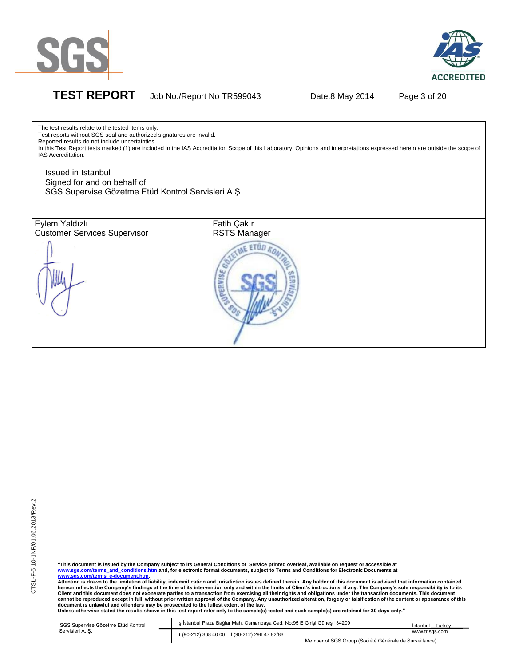



The test results relate to the tested items only.

**TEST REPORT** Job No./Report No TR599043 Date:8 May 2014 Page 3 of 20

Test reports without SGS seal and authorized signatures are invalid. Reported results do not include uncertainties. In this Test Report tests marked (1) are included in the IAS Accreditation Scope of this Laboratory. Opinions and interpretations expressed herein are outside the scope of IAS Accreditation. Issued in Istanbul Signed for and on behalf of SGS Supervise Gözetme Etüd Kontrol Servisleri A.Ş.Eylem Yaldızlı Fatih Cakır Customer Services Supervisor RSTS Manager ME ETÜD KON Cabel

CTSL-F-5.10-1NF/01.06.2013/Rev.2 CTSL-F-5.10-1NF/01.06.2013/Rev.2

"This document is issued by the Company subject to its General Conditions of Service printed overleaf, available on request or accessible at<br><u>www.sqs.com/terms and conditions.htm</u> and, for electronic format documents, s **www.sgs.com/terms\_e-document.htm.** 

**Attention is drawn to the limitation of liability, indemnification and jurisdiction issues defined therein. Any holder of this document is advised that information contained**  hereon reflects the Company's findings at the time of its intervention only and within the limits of Client's instructions, if any. The Company's sole responsibility is to its<br>Client and this document does not exonerate pa document is unlawful and offenders may be prosecuted to the fullest extent of the law.<br>Unless otherwise stated the results shown in this test report refer only to the sample(s) tested and such sample(s) are retained for 30

| SGS Supervise Gözetme Etüd Kontrol | s İstanbul Plaza Bağlar Mah, Osmanpasa Cad, No:95 E Girisi Günesli 34209 | İstanbul - Turkey                                      |
|------------------------------------|--------------------------------------------------------------------------|--------------------------------------------------------|
| Servisleri A. S.                   | t (90-212) 368 40 00 f (90-212) 296 47 82/83                             | www.tr.sas.com                                         |
|                                    |                                                                          | Member of SGS Group (Société Générale de Surveillance) |

Member of SGS Group (Société Générale de Surveillance)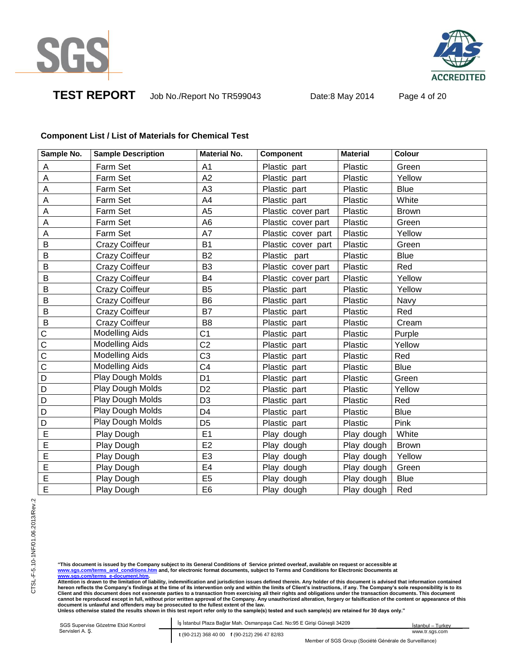

**ACCREDITED** 

**TEST REPORT** Job No./Report No TR599043 Date:8 May 2014 Page 4 of 20

# **Component List / List of Materials for Chemical Test**

| Sample No.            | <b>Sample Description</b> | <b>Material No.</b> | <b>Component</b>   | <b>Material</b> | Colour       |
|-----------------------|---------------------------|---------------------|--------------------|-----------------|--------------|
| A                     | Farm Set                  | A1                  | Plastic part       | Plastic         | Green        |
| A                     | Farm Set                  | A2                  | Plastic part       | Plastic         | Yellow       |
| A                     | Farm Set                  | A <sub>3</sub>      | Plastic part       | Plastic         | <b>Blue</b>  |
| Α                     | Farm Set                  | A4                  | Plastic part       | Plastic         | White        |
| A                     | Farm Set                  | A <sub>5</sub>      | Plastic cover part | Plastic         | <b>Brown</b> |
| A                     | Farm Set                  | A <sub>6</sub>      | Plastic cover part | Plastic         | Green        |
| A                     | Farm Set                  | A7                  | Plastic cover part | Plastic         | Yellow       |
| В                     | <b>Crazy Coiffeur</b>     | <b>B1</b>           | Plastic cover part | Plastic         | Green        |
| B                     | <b>Crazy Coiffeur</b>     | <b>B2</b>           | Plastic part       | Plastic         | <b>Blue</b>  |
| B                     | <b>Crazy Coiffeur</b>     | B <sub>3</sub>      | Plastic cover part | Plastic         | Red          |
| B                     | <b>Crazy Coiffeur</b>     | B4                  | Plastic cover part | Plastic         | Yellow       |
| B                     | <b>Crazy Coiffeur</b>     | B <sub>5</sub>      | Plastic part       | Plastic         | Yellow       |
| B                     | <b>Crazy Coiffeur</b>     | B <sub>6</sub>      | Plastic part       | Plastic         | Navy         |
| B                     | <b>Crazy Coiffeur</b>     | B7                  | Plastic part       | Plastic         | Red          |
| B                     | <b>Crazy Coiffeur</b>     | B <sub>8</sub>      | Plastic part       | Plastic         | Cream        |
| C                     | Modelling Aids            | C <sub>1</sub>      | Plastic part       | Plastic         | Purple       |
| $\overline{\text{c}}$ | <b>Modelling Aids</b>     | C <sub>2</sub>      | Plastic part       | Plastic         | Yellow       |
| $\mathsf{C}$          | <b>Modelling Aids</b>     | C <sub>3</sub>      | Plastic part       | Plastic         | Red          |
| $\mathbf C$           | <b>Modelling Aids</b>     | C <sub>4</sub>      | Plastic part       | Plastic         | <b>Blue</b>  |
| D                     | Play Dough Molds          | D <sub>1</sub>      | Plastic part       | Plastic         | Green        |
| D                     | Play Dough Molds          | D <sub>2</sub>      | Plastic part       | Plastic         | Yellow       |
| $\overline{D}$        | Play Dough Molds          | D <sub>3</sub>      | Plastic part       | Plastic         | Red          |
| D                     | Play Dough Molds          | D <sub>4</sub>      | Plastic part       | Plastic         | <b>Blue</b>  |
| D                     | Play Dough Molds          | D <sub>5</sub>      | Plastic part       | Plastic         | Pink         |
| E                     | Play Dough                | E1                  | Play dough         | Play dough      | White        |
| E                     | Play Dough                | E2                  | Play dough         | Play dough      | <b>Brown</b> |
| E                     | Play Dough                | E <sub>3</sub>      | Play dough         | Play dough      | Yellow       |
| E                     | Play Dough                | E <sub>4</sub>      | Play dough         | Play dough      | Green        |
| E                     | Play Dough                | E <sub>5</sub>      | Play dough         | Play dough      | <b>Blue</b>  |
| E                     | Play Dough                | E <sub>6</sub>      | Play dough         | Play dough      | Red          |

"This document is issued by the Company subject to its General Conditions of Service printed overleaf, available on request or accessible at<br><u>www.sqs.com/terms\_and\_conditions.htm</u> and, for electronic format documents, subj

hereon reflects the Company's findings at the time of its intervention only and within the limits of Client's instructions, if any. The Company's sole responsibility is to its<br>Client and this document does not exonerate pa

SGS Supervise Gözetme Etüd Kontrol Abide-I İş İstanbul Plaza Bağlar Mah. Osmanpaşa Cad. No:95 E Girişi Güneşli 34209 Servisleri A. Ş. **t** (90-212) 368 40 00 **f** (90-212) 296 47 82/83 İstanbul – Turkey www.tr.sgs.com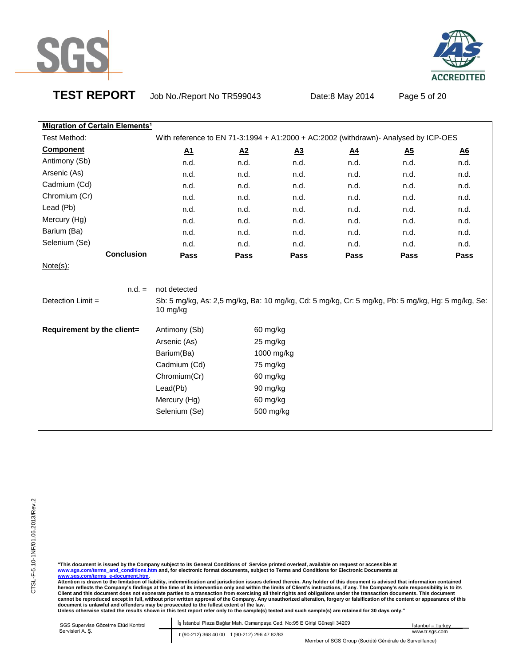

# **ACCREDITED**

**TEST REPORT** Job No./Report No TR599043 Date:8 May 2014 Page 5 of 20

| <b>Migration of Certain Elements<sup>1</sup></b> |                                                                                                               |                  |            |           |                  |                  |
|--------------------------------------------------|---------------------------------------------------------------------------------------------------------------|------------------|------------|-----------|------------------|------------------|
| Test Method:                                     | With reference to EN 71-3:1994 + A1:2000 + AC:2002 (withdrawn)- Analysed by ICP-OES                           |                  |            |           |                  |                  |
| <b>Component</b>                                 | A1                                                                                                            | $\underline{A2}$ | <u>A3</u>  | <u>A4</u> | $\underline{A5}$ | $\underline{A6}$ |
| Antimony (Sb)                                    | n.d.                                                                                                          | n.d.             | n.d.       | n.d.      | n.d.             | n.d.             |
| Arsenic (As)                                     | n.d.                                                                                                          | n.d.             | n.d.       | n.d.      | n.d.             | n.d.             |
| Cadmium (Cd)                                     | n.d.                                                                                                          | n.d.             | n.d.       | n.d.      | n.d.             | n.d.             |
| Chromium (Cr)                                    | n.d.                                                                                                          | n.d.             | n.d.       | n.d.      | n.d.             | n.d.             |
| Lead (Pb)                                        | n.d.                                                                                                          | n.d.             | n.d.       | n.d.      | n.d.             | n.d.             |
| Mercury (Hg)                                     | n.d.                                                                                                          | n.d.             | n.d.       | n.d.      | n.d.             | n.d.             |
| Barium (Ba)                                      | n.d.                                                                                                          | n.d.             | n.d.       | n.d.      | n.d.             | n.d.             |
| Selenium (Se)                                    | n.d.                                                                                                          | n.d.             | n.d.       | n.d.      | n.d.             | n.d.             |
| <b>Conclusion</b>                                | Pass                                                                                                          | Pass             | Pass       | Pass      | Pass             | Pass             |
| $Note(s)$ :                                      |                                                                                                               |                  |            |           |                  |                  |
|                                                  |                                                                                                               |                  |            |           |                  |                  |
| $n.d. =$                                         | not detected                                                                                                  |                  |            |           |                  |                  |
| Detection Limit =                                | Sb: 5 mg/kg, As: 2,5 mg/kg, Ba: 10 mg/kg, Cd: 5 mg/kg, Cr: 5 mg/kg, Pb: 5 mg/kg, Hg: 5 mg/kg, Se:<br>10 mg/kg |                  |            |           |                  |                  |
| Requirement by the client=                       | Antimony (Sb)                                                                                                 | 60 mg/kg         |            |           |                  |                  |
|                                                  | Arsenic (As)                                                                                                  | 25 mg/kg         |            |           |                  |                  |
|                                                  | Barium(Ba)                                                                                                    |                  | 1000 mg/kg |           |                  |                  |
|                                                  | Cadmium (Cd)                                                                                                  | 75 mg/kg         |            |           |                  |                  |
|                                                  | Chromium(Cr)                                                                                                  | 60 mg/kg         |            |           |                  |                  |
|                                                  | Lead(Pb)                                                                                                      | 90 mg/kg         |            |           |                  |                  |

"This document is issued by the Company subject to its General Conditions of Service printed overleaf, available on request or accessible at<br><u>www.sqs.com/terms\_and\_conditions.htm</u> and, for electronic format documents, subj

Mercury (Hg) 60 mg/kg Selenium (Se) 500 mg/kg

| SGS Supervise Gözetme Etüd Kontrol | Iş İstanbul Plaza Bağlar Mah. Osmanpaşa Cad. No:95 E Girişi Günesli 34209 | İstanbul - Turkev |
|------------------------------------|---------------------------------------------------------------------------|-------------------|
| Servisleri A. S.                   | t (90-212) 368 40 00 f (90-212) 296 47 82/83                              | www.tr.sas.com    |
|                                    | Member of SGS Group (Société Générale de Surveillance)                    |                   |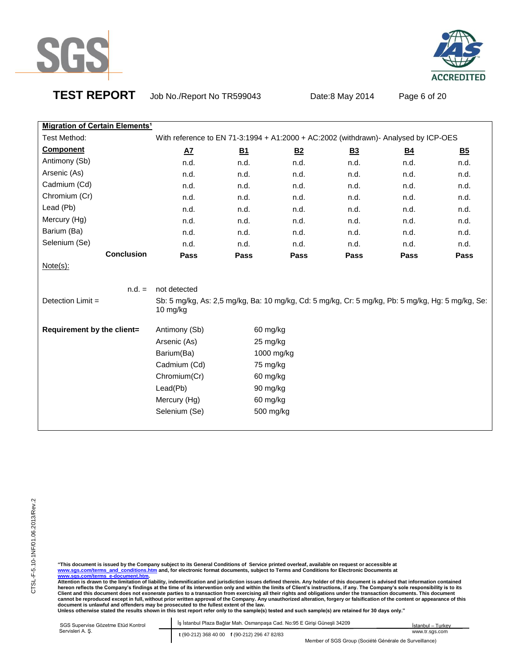



**TEST REPORT** Job No./Report No TR599043 Date:8 May 2014 Page 6 of 20

| <b>Migration of Certain Elements<sup>1</sup></b> |                                                                                                               |           |            |           |                |           |  |
|--------------------------------------------------|---------------------------------------------------------------------------------------------------------------|-----------|------------|-----------|----------------|-----------|--|
| Test Method:                                     | With reference to EN 71-3:1994 + A1:2000 + AC:2002 (withdrawn)- Analysed by ICP-OES                           |           |            |           |                |           |  |
| <b>Component</b>                                 | $A\overline{Z}$                                                                                               | <u>B1</u> | <u>B2</u>  | <u>B3</u> | B <sub>4</sub> | <u>B5</u> |  |
| Antimony (Sb)                                    | n.d.                                                                                                          | n.d.      | n.d.       | n.d.      | n.d.           | n.d.      |  |
| Arsenic (As)                                     | n.d.                                                                                                          | n.d.      | n.d.       | n.d.      | n.d.           | n.d.      |  |
| Cadmium (Cd)                                     | n.d.                                                                                                          | n.d.      | n.d.       | n.d.      | n.d.           | n.d.      |  |
| Chromium (Cr)                                    | n.d.                                                                                                          | n.d.      | n.d.       | n.d.      | n.d.           | n.d.      |  |
| Lead (Pb)                                        | n.d.                                                                                                          | n.d.      | n.d.       | n.d.      | n.d.           | n.d.      |  |
| Mercury (Hg)                                     | n.d.                                                                                                          | n.d.      | n.d.       | n.d.      | n.d.           | n.d.      |  |
| Barium (Ba)                                      | n.d.                                                                                                          | n.d.      | n.d.       | n.d.      | n.d.           | n.d.      |  |
| Selenium (Se)                                    | n.d.                                                                                                          | n.d.      | n.d.       | n.d.      | n.d.           | n.d.      |  |
| <b>Conclusion</b>                                | Pass                                                                                                          | Pass      | Pass       | Pass      | Pass           | Pass      |  |
| $Note(s)$ :                                      |                                                                                                               |           |            |           |                |           |  |
|                                                  |                                                                                                               |           |            |           |                |           |  |
| $n.d. =$                                         | not detected                                                                                                  |           |            |           |                |           |  |
| Detection Limit =                                | Sb: 5 mg/kg, As: 2,5 mg/kg, Ba: 10 mg/kg, Cd: 5 mg/kg, Cr: 5 mg/kg, Pb: 5 mg/kg, Hg: 5 mg/kg, Se:<br>10 mg/kg |           |            |           |                |           |  |
| Requirement by the client=                       | Antimony (Sb)                                                                                                 | 60 mg/kg  |            |           |                |           |  |
|                                                  | Arsenic (As)                                                                                                  | 25 mg/kg  |            |           |                |           |  |
|                                                  | Barium(Ba)                                                                                                    |           | 1000 mg/kg |           |                |           |  |
|                                                  | Cadmium (Cd)                                                                                                  | 75 mg/kg  |            |           |                |           |  |
|                                                  | Chromium(Cr)                                                                                                  | 60 mg/kg  |            |           |                |           |  |
|                                                  | Lead(Pb)                                                                                                      | 90 mg/kg  |            |           |                |           |  |
|                                                  | Mercury (Hg)                                                                                                  | 60 mg/kg  |            |           |                |           |  |
|                                                  | Selenium (Se)                                                                                                 |           | 500 mg/kg  |           |                |           |  |

"This document is issued by the Company subject to its General Conditions of Service printed overleaf, available on request or accessible at<br><u>www.sqs.com/terms\_and\_conditions.htm</u> and, for electronic format documents, subj

| SGS Supervise Gözetme Etüd Kontrol | İş İstanbul Plaza Bağlar Mah. Osmanpaşa Cad. No:95 E Girişi Güneşli 34209 | İstanbul - Turkey |
|------------------------------------|---------------------------------------------------------------------------|-------------------|
| Servisleri A. S.                   | t (90-212) 368 40 00 f (90-212) 296 47 82/83                              | www.tr.sgs.com    |
|                                    | Member of SGS Group (Société Générale de Surveillance)                    |                   |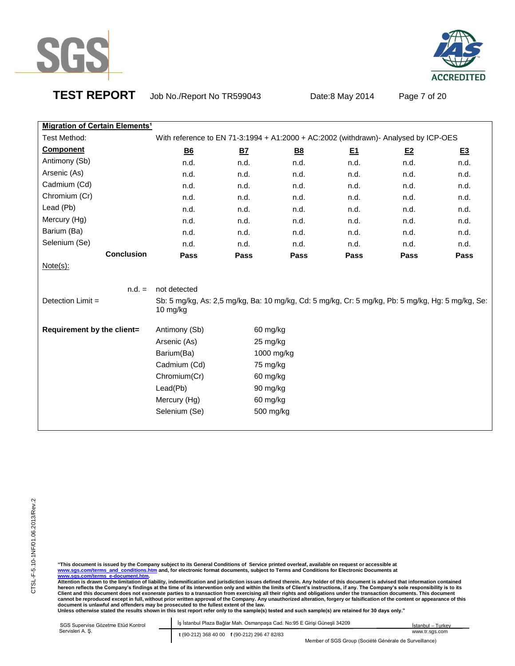



**TEST REPORT** Job No./Report No TR599043 Date:8 May 2014 Page 7 of 20

| <b>Migration of Certain Elements<sup>1</sup></b>                                                              |           |            |          |      |                                                                                     |
|---------------------------------------------------------------------------------------------------------------|-----------|------------|----------|------|-------------------------------------------------------------------------------------|
|                                                                                                               |           |            |          |      |                                                                                     |
| <u>B6</u>                                                                                                     | <u>B7</u> | <u>B8</u>  | <u>티</u> | E2   | <u>E3</u>                                                                           |
| n.d.                                                                                                          | n.d.      | n.d.       | n.d.     | n.d. | n.d.                                                                                |
| n.d.                                                                                                          | n.d.      | n.d.       | n.d.     | n.d. | n.d.                                                                                |
| n.d.                                                                                                          | n.d.      | n.d.       | n.d.     | n.d. | n.d.                                                                                |
| n.d.                                                                                                          | n.d.      | n.d.       | n.d.     | n.d. | n.d.                                                                                |
| n.d.                                                                                                          | n.d.      | n.d.       | n.d.     | n.d. | n.d.                                                                                |
| n.d.                                                                                                          | n.d.      | n.d.       | n.d.     | n.d. | n.d.                                                                                |
| n.d.                                                                                                          | n.d.      | n.d.       | n.d.     | n.d. | n.d.                                                                                |
| n.d.                                                                                                          | n.d.      | n.d.       | n.d.     | n.d. | n.d.                                                                                |
|                                                                                                               |           |            |          |      |                                                                                     |
| Pass                                                                                                          | Pass      | Pass       | Pass     | Pass | Pass                                                                                |
|                                                                                                               |           |            |          |      |                                                                                     |
|                                                                                                               |           |            |          |      |                                                                                     |
| not detected                                                                                                  |           |            |          |      |                                                                                     |
| Sb: 5 mg/kg, As: 2,5 mg/kg, Ba: 10 mg/kg, Cd: 5 mg/kg, Cr: 5 mg/kg, Pb: 5 mg/kg, Hg: 5 mg/kg, Se:<br>10 mg/kg |           |            |          |      |                                                                                     |
| Antimony (Sb)                                                                                                 | 60 mg/kg  |            |          |      |                                                                                     |
| Arsenic (As)                                                                                                  | 25 mg/kg  |            |          |      |                                                                                     |
| Barium(Ba)                                                                                                    |           | 1000 mg/kg |          |      |                                                                                     |
| Cadmium (Cd)                                                                                                  | 75 mg/kg  |            |          |      |                                                                                     |
| Chromium(Cr)                                                                                                  | 60 mg/kg  |            |          |      |                                                                                     |
| Lead(Pb)                                                                                                      | 90 mg/kg  |            |          |      |                                                                                     |
|                                                                                                               |           |            |          |      | With reference to EN 71-3:1994 + A1:2000 + AC:2002 (withdrawn)- Analysed by ICP-OES |

"This document is issued by the Company subject to its General Conditions of Service printed overleaf, available on request or accessible at<br><u>www.sqs.com/terms\_and\_conditions.htm</u> and, for electronic format documents, subj

Selenium (Se) 500 mg/kg

| SGS Supervise Gözetme Etüd Kontrol | Is İstanbul Plaza Bağlar Mah. Osmanpaşa Cad. No:95 E Girişi Güneşli 34209 | İstanbul - Turkey |
|------------------------------------|---------------------------------------------------------------------------|-------------------|
| Servisleri A. S.                   | t (90-212) 368 40 00 f (90-212) 296 47 82/83                              | www.tr.sas.com    |
|                                    | Member of SGS Group (Société Générale de Surveillance)                    |                   |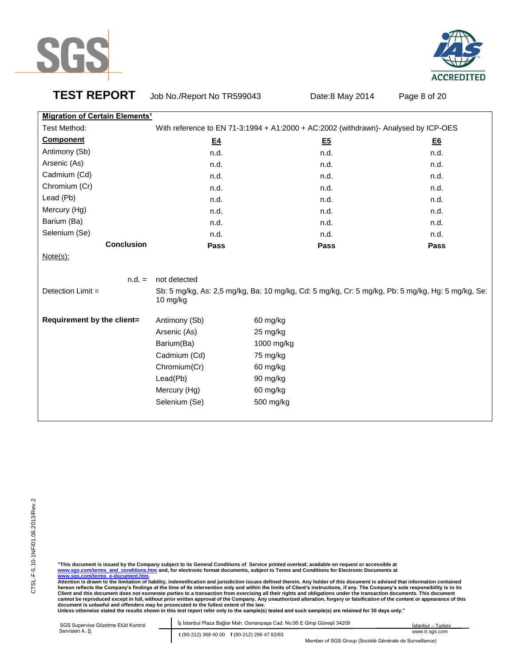



**TEST REPORT** Job No./Report No TR599043 Date:8 May 2014 Page 8 of 20

| <b>Migration of Certain Elements<sup>1</sup></b> |               |                                                                                                   |           |
|--------------------------------------------------|---------------|---------------------------------------------------------------------------------------------------|-----------|
| Test Method:                                     |               | With reference to EN 71-3:1994 + A1:2000 + AC:2002 (withdrawn)- Analysed by ICP-OES               |           |
| <b>Component</b>                                 | E4            | <u>E5</u>                                                                                         | <u>E6</u> |
| Antimony (Sb)                                    | n.d.          | n.d.                                                                                              | n.d.      |
| Arsenic (As)                                     | n.d.          | n.d.                                                                                              | n.d.      |
| Cadmium (Cd)                                     | n.d.          | n.d.                                                                                              | n.d.      |
| Chromium (Cr)                                    | n.d.          | n.d.                                                                                              | n.d.      |
| Lead (Pb)                                        | n.d.          | n.d.                                                                                              | n.d.      |
| Mercury (Hg)                                     | n.d.          | n.d.                                                                                              | n.d.      |
| Barium (Ba)                                      | n.d.          | n.d.                                                                                              | n.d.      |
| Selenium (Se)                                    | n.d.          | n.d.                                                                                              | n.d.      |
| <b>Conclusion</b>                                | Pass          | Pass                                                                                              | Pass      |
| $Note(s)$ :                                      |               |                                                                                                   |           |
|                                                  |               |                                                                                                   |           |
| $n.d. =$                                         | not detected  |                                                                                                   |           |
| Detection Limit =                                | 10 mg/kg      | Sb: 5 mg/kg, As: 2,5 mg/kg, Ba: 10 mg/kg, Cd: 5 mg/kg, Cr: 5 mg/kg, Pb: 5 mg/kg, Hg: 5 mg/kg, Se: |           |
| Requirement by the client=                       | Antimony (Sb) | 60 mg/kg                                                                                          |           |
|                                                  | Arsenic (As)  | 25 mg/kg                                                                                          |           |
|                                                  | Barium(Ba)    | 1000 mg/kg                                                                                        |           |
|                                                  | Cadmium (Cd)  | 75 mg/kg                                                                                          |           |
|                                                  | Chromium(Cr)  | 60 mg/kg                                                                                          |           |
|                                                  | Lead(Pb)      | 90 mg/kg                                                                                          |           |
|                                                  | Mercury (Hg)  | 60 mg/kg                                                                                          |           |
|                                                  | Selenium (Se) | 500 mg/kg                                                                                         |           |
|                                                  |               |                                                                                                   |           |

"This document is issued by the Company subject to its General Conditions of Service printed overleaf, available on request or accessible at<br><u>www.sqs.com/terms\_and\_conditions.htm</u> and, for electronic format documents, subj

| SGS Supervise Gözetme Etüd Kontrol | Is İstanbul Plaza Bağlar Mah. Osmanpaşa Cad. No:95 E Girişi Güneşli 34209 | · Turkey<br>İstanbul – |
|------------------------------------|---------------------------------------------------------------------------|------------------------|
| Servisleri A. S.                   | t (90-212) 368 40 00 f (90-212) 296 47 82/83                              | www.tr.sas.com         |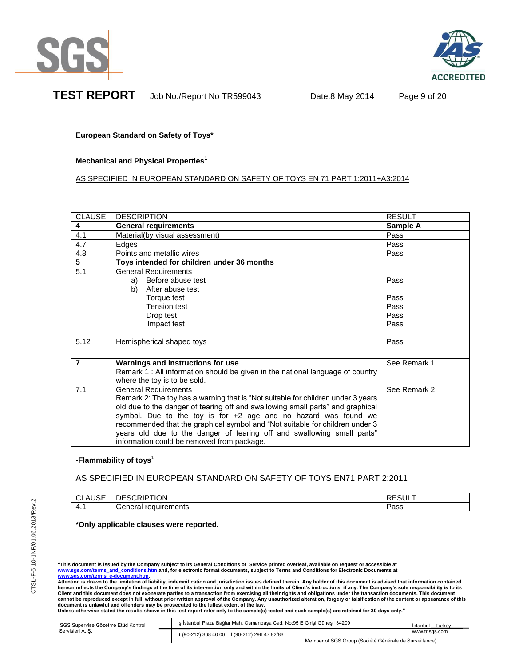



**TEST REPORT** Job No./Report No TR599043 Date:8 May 2014 Page 9 of 20

**European Standard on Safety of Toys\***

**Mechanical and Physical Properties<sup>1</sup>**

AS SPECIFIED IN EUROPEAN STANDARD ON SAFETY OF TOYS EN 71 PART 1:2011+A3:2014

| <b>CLAUSE</b>  | <b>DESCRIPTION</b>                                                               | <b>RESULT</b> |
|----------------|----------------------------------------------------------------------------------|---------------|
| 4              | <b>General requirements</b>                                                      | Sample A      |
| 4.1            | Material(by visual assessment)                                                   | Pass          |
| 4.7            | Edges                                                                            | Pass          |
| 4.8            | Points and metallic wires                                                        | Pass          |
| $\overline{5}$ | Toys intended for children under 36 months                                       |               |
| 5.1            | <b>General Requirements</b>                                                      |               |
|                | a) Before abuse test                                                             | Pass          |
|                | After abuse test<br>b)                                                           |               |
|                | Torque test                                                                      | Pass          |
|                | <b>Tension test</b>                                                              | Pass          |
|                | Drop test                                                                        | Pass          |
|                | Impact test                                                                      | Pass          |
|                |                                                                                  |               |
| 5.12           | Hemispherical shaped toys                                                        | Pass          |
|                |                                                                                  |               |
| $\overline{7}$ | Warnings and instructions for use                                                | See Remark 1  |
|                | Remark 1 : All information should be given in the national language of country   |               |
|                | where the toy is to be sold.                                                     |               |
| 7.1            | <b>General Requirements</b>                                                      | See Remark 2  |
|                | Remark 2: The toy has a warning that is "Not suitable for children under 3 years |               |
|                | old due to the danger of tearing off and swallowing small parts" and graphical   |               |
|                | symbol. Due to the toy is for $+2$ age and no hazard was found we                |               |
|                | recommended that the graphical symbol and "Not suitable for children under 3     |               |
|                | years old due to the danger of tearing off and swallowing small parts"           |               |
|                | information could be removed from package.                                       |               |

# **-Flammability of toys<sup>1</sup>**

# AS SPECIFIED IN EUROPEAN STANDARD ON SAFETY OF TOYS EN71 PART 2:2011

| $\cdot$ $\sim$ $\sim$<br>$\mathbf{v}$<br>. .<br>⊣טס<br> | $\sim$<br>JN.<br>N.   | ~–<br>$\sim$ |
|---------------------------------------------------------|-----------------------|--------------|
| $-4.$                                                   | $\sim$<br>чтень<br>-- | , הנ<br>aoo  |

# **\*Only applicable clauses were reported.**

"This document is issued by the Company subject to its General Conditions of Service printed overleaf, available on request or accessible at<br><u>www.sqs.com/terms and conditions.htm</u> and, for electronic format documents, s **www.sgs.com/terms\_e-document.htm.** 

**Attention is drawn to the limitation of liability, indemnification and jurisdiction issues defined therein. Any holder of this document is advised that information contained**  hereon reflects the Company's findings at the time of its intervention only and within the limits of Client's instructions, if any. The Company's sole responsibility is to its<br>Client and this document does not exonerate pa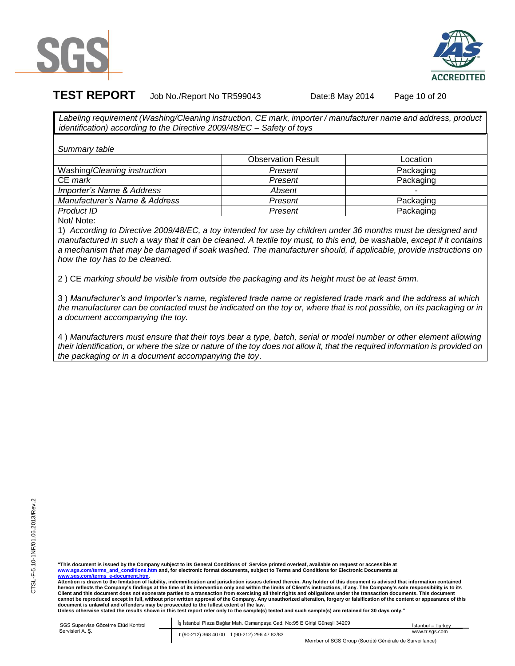



**TEST REPORT** Job No./Report No TR599043 Date:8 May 2014 Page 10 of 20

*Labeling requirement (Washing/Cleaning instruction, CE mark, importer / manufacturer name and address, product identification) according to the Directive 2009/48/EC – Safety of toys*

*Summary table* 

|                               | <b>Observation Result</b> | Location  |
|-------------------------------|---------------------------|-----------|
| Washing/Cleaning instruction  | Present                   | Packaging |
| CE mark                       | Present                   | Packaging |
| Importer's Name & Address     | Absent                    | -         |
| Manufacturer's Name & Address | Present                   | Packaging |
| Product ID                    | Present                   | Packaging |

Not/ Note:

1) *According to Directive 2009/48/EC, a toy intended for use by children under 36 months must be designed and manufactured in such a way that it can be cleaned. A textile toy must, to this end, be washable, except if it contains a mechanism that may be damaged if soak washed. The manufacturer should, if applicable, provide instructions on how the toy has to be cleaned.*

2 ) CE *marking should be visible from outside the packaging and its height must be at least 5mm.* 

3 ) *Manufacturer's and Importer's name, registered trade name or registered trade mark and the address at which the manufacturer can be contacted must be indicated on the toy or, where that is not possible, on its packaging or in a document accompanying the toy.*

4 ) *Manufacturers must ensure that their toys bear a type, batch, serial or model number or other element allowing their identification, or where the size or nature of the toy does not allow it, that the required information is provided on the packaging or in a document accompanying the toy*.

**"This document is issued by the Company subject to its General Conditions of Service printed overleaf, available on request or accessible at www.sgs.com/terms\_and\_conditions.htm and, for electronic format documents, subject to Terms and Conditions for Electronic Documents at www.sgs.com/terms\_e-document.htm.** 

**Attention is drawn to the limitation of liability, indemnification and jurisdiction issues defined therein. Any holder of this document is advised that information contained hereon reflects the Company's findings at the time of its intervention only and within the limits of Client's instructions, if any. The Company's sole responsibility is to its**  Client and this document does not exonerate parties to a transaction from exercising all their rights and obligations under the transaction documents. This document **cannot be reproduced except in full, without prior written approval of the Company. Any unauthorized alteration, forgery or falsification of the content or appearance of this**  document is unlawful and offenders may be prosecuted to the fullest extent of the law.<br>Unless otherwise stated the results shown in this test report refer only to the sample(s) tested and such sample(s) are retained for 30

SGS Supervise Gözetme Etüd Kontrol Abide-I İş İstanbul Plaza Bağlar Mah. Osmanpaşa Cad. No:95 E Girişi Güneşli 34209 Servisleri A. Ş. **t** (90-212) 368 40 00 **f** (90-212) 296 47 82/83 İstanbul – Turkey www.tr.sgs.com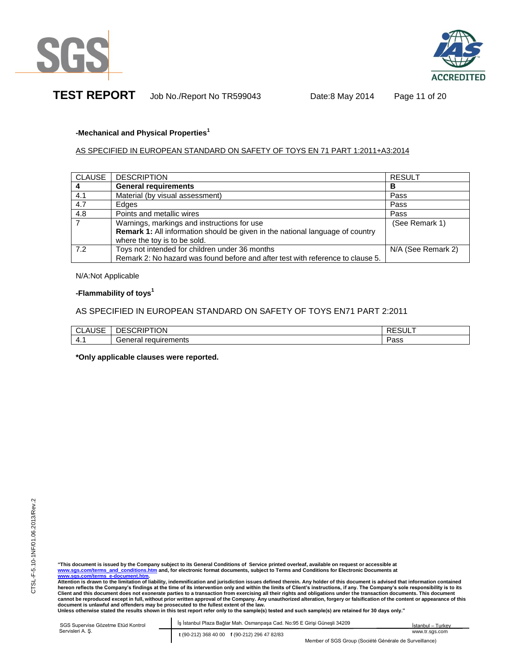



**TEST REPORT** Job No./Report No TR599043 Date:8 May 2014 Page 11 of 20

# **-Mechanical and Physical Properties<sup>1</sup>**

# AS SPECIFIED IN EUROPEAN STANDARD ON SAFETY OF TOYS EN 71 PART 1:2011+A3:2014

| <b>CLAUSE</b> | <b>DESCRIPTION</b>                                                                   | <b>RESULT</b>      |
|---------------|--------------------------------------------------------------------------------------|--------------------|
|               | <b>General requirements</b>                                                          | в                  |
| 4.1           | Material (by visual assessment)                                                      | Pass               |
| 4.7           | Edges                                                                                | Pass               |
| 4.8           | Points and metallic wires                                                            | Pass               |
|               | Warnings, markings and instructions for use                                          | (See Remark 1)     |
|               | <b>Remark 1:</b> All information should be given in the national language of country |                    |
|               | where the toy is to be sold.                                                         |                    |
| 7.2           | Toys not intended for children under 36 months                                       | N/A (See Remark 2) |
|               | Remark 2: No hazard was found before and after test with reference to clause 5.      |                    |

N/A:Not Applicable

## **-Flammability of toys<sup>1</sup>**

# AS SPECIFIED IN EUROPEAN STANDARD ON SAFETY OF TOYS EN71 PART 2:2011

| $-$<br>$\sim$<br>າບບ∟ | .ON                     |    |
|-----------------------|-------------------------|----|
| <b>4.</b>             | requirements<br>General | ంప |

**\*Only applicable clauses were reported.**

**Attention is drawn to the limitation of liability, indemnification and jurisdiction issues defined therein. Any holder of this document is advised that information contained**  hereon reflects the Company's findings at the time of its intervention only and within the limits of Client's instructions, if any. The Company's sole responsibility is to its<br>Client and this document does not exonerate pa document is unlawful and offenders may be prosecuted to the fullest extent of the law.<br>Unless otherwise stated the results shown in this test report refer only to the sample(s) tested and such sample(s) are retained for 30

| SGS Supervise Gözetme Etüd Kontrol | İs İstanbul Plaza Bağlar Mah. Osmanpaşa Cad. No:95 E Girişi Güneşli 34209 | İstanbul – Turkev                                      |
|------------------------------------|---------------------------------------------------------------------------|--------------------------------------------------------|
| Servisleri A. S.                   | t (90-212) 368 40 00 f (90-212) 296 47 82/83                              | www.tr.sas.com                                         |
|                                    |                                                                           | Member of SGS Group (Société Générale de Surveillance) |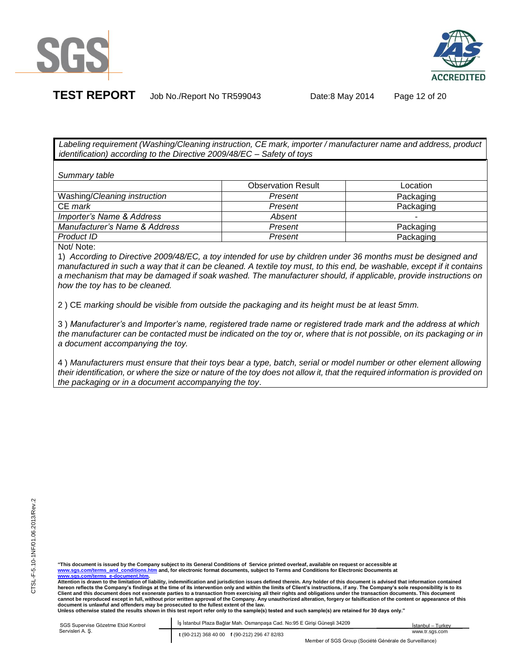



**TEST REPORT** Job No./Report No TR599043 Date:8 May 2014 Page 12 of 20

*Labeling requirement (Washing/Cleaning instruction, CE mark, importer / manufacturer name and address, product identification) according to the Directive 2009/48/EC – Safety of toys*

*Summary table* 

|                               | <b>Observation Result</b> | Location  |
|-------------------------------|---------------------------|-----------|
| Washing/Cleaning instruction  | Present                   | Packaging |
| CE mark                       | Present                   | Packaging |
| Importer's Name & Address     | Absent                    |           |
| Manufacturer's Name & Address | Present                   | Packaging |
| Product ID                    | Present                   | Packaging |
| <b>ALALA</b>                  |                           |           |

Not/ Note:

1) *According to Directive 2009/48/EC, a toy intended for use by children under 36 months must be designed and manufactured in such a way that it can be cleaned. A textile toy must, to this end, be washable, except if it contains a mechanism that may be damaged if soak washed. The manufacturer should, if applicable, provide instructions on how the toy has to be cleaned.*

2 ) CE *marking should be visible from outside the packaging and its height must be at least 5mm.* 

3 ) *Manufacturer's and Importer's name, registered trade name or registered trade mark and the address at which the manufacturer can be contacted must be indicated on the toy or, where that is not possible, on its packaging or in a document accompanying the toy.*

4 ) *Manufacturers must ensure that their toys bear a type, batch, serial or model number or other element allowing their identification, or where the size or nature of the toy does not allow it, that the required information is provided on the packaging or in a document accompanying the toy*.

"This document is issued by the Company subject to its General Conditions of Service printed overleaf, available on request or accessible at<br><u>www.sqs.com/terms and conditions.htm</u> and, for electronic format documents, s **www.sgs.com/terms\_e-document.htm.** 

**Attention is drawn to the limitation of liability, indemnification and jurisdiction issues defined therein. Any holder of this document is advised that information contained hereon reflects the Company's findings at the time of its intervention only and within the limits of Client's instructions, if any. The Company's sole responsibility is to its**  Client and this document does not exonerate parties to a transaction from exercising all their rights and obligations under the transaction documents. This document **cannot be reproduced except in full, without prior written approval of the Company. Any unauthorized alteration, forgery or falsification of the content or appearance of this document is unlawful and offenders may be prosecuted to the fullest extent of the law.**

**Unless otherwise stated the results shown in this test report refer only to the sample(s) tested and such sample(s) are retained for 30 days only."** 

| SGS Supervise Gözetme Etüd Kontrol | Is İstanbul Plaza Bağlar Mah, Osmanpasa Cad, No:95 E Girisi Günesli 34209 | Istanbul - Turkev |
|------------------------------------|---------------------------------------------------------------------------|-------------------|
| Servisleri A. S.                   | t (90-212) 368 40 00 f (90-212) 296 47 82/83                              | www.tr.sas.com    |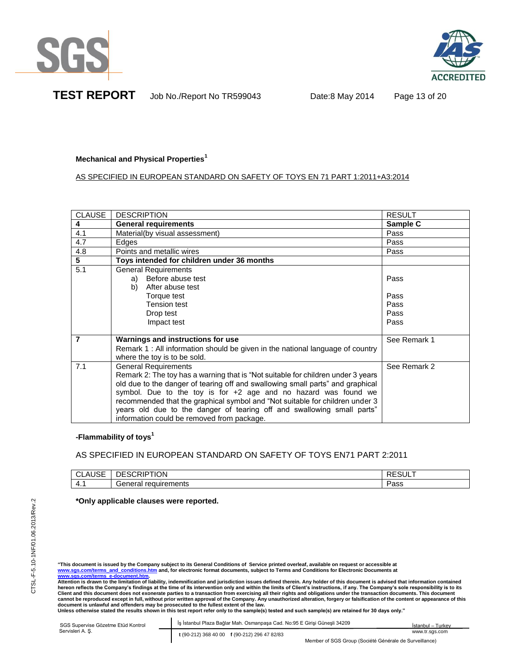



## **Mechanical and Physical Properties<sup>1</sup>**

# AS SPECIFIED IN EUROPEAN STANDARD ON SAFETY OF TOYS EN 71 PART 1:2011+A3:2014

| <b>CLAUSE</b>  | <b>DESCRIPTION</b>                                                                                                                                                                                                                                                                                                                                                                                                                                                             | <b>RESULT</b>                        |
|----------------|--------------------------------------------------------------------------------------------------------------------------------------------------------------------------------------------------------------------------------------------------------------------------------------------------------------------------------------------------------------------------------------------------------------------------------------------------------------------------------|--------------------------------------|
| 4              | <b>General requirements</b>                                                                                                                                                                                                                                                                                                                                                                                                                                                    | Sample C                             |
| 4.1            | Material(by visual assessment)                                                                                                                                                                                                                                                                                                                                                                                                                                                 | Pass                                 |
| 4.7            | Edges                                                                                                                                                                                                                                                                                                                                                                                                                                                                          | Pass                                 |
| 4.8            | Points and metallic wires                                                                                                                                                                                                                                                                                                                                                                                                                                                      | Pass                                 |
| $\overline{5}$ | Toys intended for children under 36 months                                                                                                                                                                                                                                                                                                                                                                                                                                     |                                      |
| 5.1            | <b>General Requirements</b><br>Before abuse test<br>a)<br>After abuse test<br>b)<br>Torque test<br><b>Tension test</b><br>Drop test<br>Impact test                                                                                                                                                                                                                                                                                                                             | Pass<br>Pass<br>Pass<br>Pass<br>Pass |
| 7              | Warnings and instructions for use<br>Remark 1 : All information should be given in the national language of country<br>where the toy is to be sold.                                                                                                                                                                                                                                                                                                                            | See Remark 1                         |
| 7.1            | <b>General Requirements</b><br>Remark 2: The toy has a warning that is "Not suitable for children under 3 years<br>old due to the danger of tearing off and swallowing small parts" and graphical<br>symbol. Due to the toy is for $+2$ age and no hazard was found we<br>recommended that the graphical symbol and "Not suitable for children under 3<br>years old due to the danger of tearing off and swallowing small parts"<br>information could be removed from package. | See Remark 2                         |

# **-Flammability of toys<sup>1</sup>**

# AS SPECIFIED IN EUROPEAN STANDARD ON SAFETY OF TOYS EN71 PART 2:2011

| $-$<br>$\mathbf{A}$<br>⊣טס<br>ᆚ | ESCRIPTION<br>⊣נ<br>----       | -----<br>RESUL. |
|---------------------------------|--------------------------------|-----------------|
| .                               | $\sim$<br>้านirements<br>Jener | י הרג<br>-aɔɔ   |

## **\*Only applicable clauses were reported.**

**www.sgs.com/terms\_e-document.htm. Attention is drawn to the limitation of liability, indemnification and jurisdiction issues defined therein. Any holder of this document is advised that information contained**  hereon reflects the Company's findings at the time of its intervention only and within the limits of Client's instructions, if any. The Company's sole responsibility is to its<br>Client and this document does not exonerate pa document is unlawful and offenders may be prosecuted to the fullest extent of the law.<br>Unless otherwise stated the results shown in this test report refer only to the sample(s) tested and such sample(s) are retained for 30

| SGS Supervise Gözetme Etüd Kontrol | İş İstanbul Plaza Bağlar Mah. Osmanpaşa Cad. No:95 E Girisi Günesli 34209 | İstanbul – Turkev                                      |
|------------------------------------|---------------------------------------------------------------------------|--------------------------------------------------------|
| Servisleri A. S.                   | t (90-212) 368 40 00 f (90-212) 296 47 82/83                              | www.tr.sas.com                                         |
|                                    |                                                                           | Member of SGS Group (Société Générale de Surveillance) |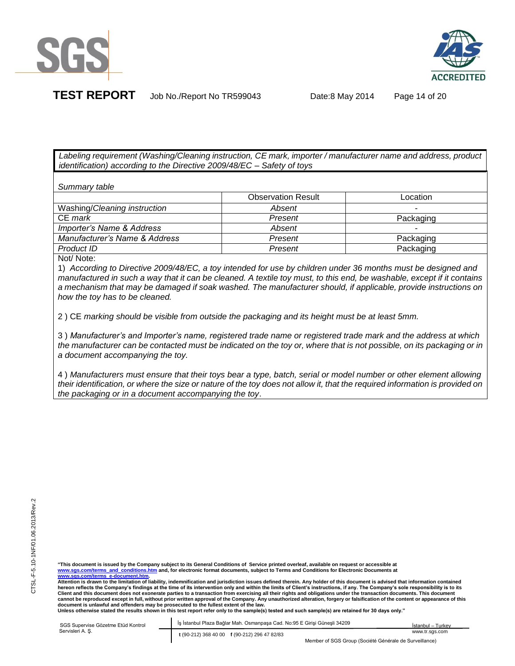



*Labeling requirement (Washing/Cleaning instruction, CE mark, importer / manufacturer name and address, product identification) according to the Directive 2009/48/EC – Safety of toys*

*Summary table* 

|                               | <b>Observation Result</b> | Location                 |
|-------------------------------|---------------------------|--------------------------|
| Washing/Cleaning instruction  | Absent                    |                          |
| CE mark                       | Present                   | Packaging                |
| Importer's Name & Address     | Absent                    | $\overline{\phantom{0}}$ |
| Manufacturer's Name & Address | Present                   | Packaging                |
| Product ID                    | Present                   | Packaging                |

Not/ Note:

1) *According to Directive 2009/48/EC, a toy intended for use by children under 36 months must be designed and manufactured in such a way that it can be cleaned. A textile toy must, to this end, be washable, except if it contains a mechanism that may be damaged if soak washed. The manufacturer should, if applicable, provide instructions on how the toy has to be cleaned.*

2 ) CE *marking should be visible from outside the packaging and its height must be at least 5mm.* 

3 ) *Manufacturer's and Importer's name, registered trade name or registered trade mark and the address at which the manufacturer can be contacted must be indicated on the toy or, where that is not possible, on its packaging or in a document accompanying the toy.*

4 ) *Manufacturers must ensure that their toys bear a type, batch, serial or model number or other element allowing their identification, or where the size or nature of the toy does not allow it, that the required information is provided on the packaging or in a document accompanying the toy*.

"This document is issued by the Company subject to its General Conditions of Service printed overleaf, available on request or accessible at<br><u>www.sqs.com/terms and conditions.htm</u> and, for electronic format documents, s **www.sgs.com/terms\_e-document.htm.** 

**Attention is drawn to the limitation of liability, indemnification and jurisdiction issues defined therein. Any holder of this document is advised that information contained hereon reflects the Company's findings at the time of its intervention only and within the limits of Client's instructions, if any. The Company's sole responsibility is to its**  Client and this document does not exonerate parties to a transaction from exercising all their rights and obligations under the transaction documents. This document **cannot be reproduced except in full, without prior written approval of the Company. Any unauthorized alteration, forgery or falsification of the content or appearance of this document is unlawful and offenders may be prosecuted to the fullest extent of the law.**

**Unless otherwise stated the results shown in this test report refer only to the sample(s) tested and such sample(s) are retained for 30 days only."** 

| SGS Supervise Gözetme Etüd Kontrol | İş İstanbul Plaza Bağlar Mah. Osmanpaşa Cad. No:95 E Girişi Güneşli 34209 | İstanbul – Turkev                                      |
|------------------------------------|---------------------------------------------------------------------------|--------------------------------------------------------|
| Servisleri A. S.                   | t (90-212) 368 40 00 f (90-212) 296 47 82/83                              | www.tr.sas.com                                         |
|                                    |                                                                           | Member of SGS Group (Société Générale de Surveillance) |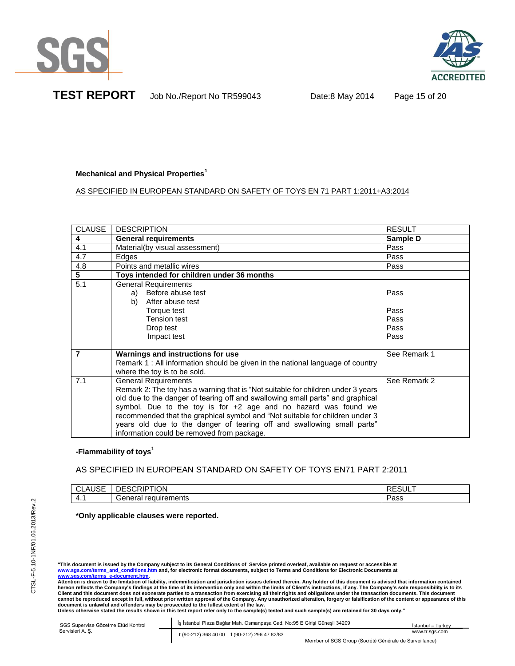



**TEST REPORT** Job No./Report No TR599043 Date:8 May 2014 Page 15 of 20

# **Mechanical and Physical Properties<sup>1</sup>**

# AS SPECIFIED IN EUROPEAN STANDARD ON SAFETY OF TOYS EN 71 PART 1:2011+A3:2014

| <b>CLAUSE</b>           | <b>DESCRIPTION</b>                                                                                            | <b>RESULT</b> |
|-------------------------|---------------------------------------------------------------------------------------------------------------|---------------|
| $\overline{\mathbf{4}}$ | <b>General requirements</b>                                                                                   | Sample D      |
| 4.1                     | Material(by visual assessment)                                                                                | Pass          |
| 4.7                     | Edges                                                                                                         | Pass          |
| 4.8                     | Points and metallic wires                                                                                     | Pass          |
| $\overline{5}$          | Toys intended for children under 36 months                                                                    |               |
| 5.1                     | <b>General Requirements</b><br>a) Before abuse test                                                           | Pass          |
|                         | After abuse test<br>b)                                                                                        |               |
|                         | Torque test                                                                                                   | Pass          |
|                         | Tension test                                                                                                  | Pass          |
|                         | Drop test                                                                                                     | Pass          |
|                         | Impact test                                                                                                   | Pass          |
|                         |                                                                                                               |               |
| 7                       | Warnings and instructions for use                                                                             | See Remark 1  |
|                         | Remark 1: All information should be given in the national language of country<br>where the toy is to be sold. |               |
| 7.1                     | <b>General Requirements</b>                                                                                   | See Remark 2  |
|                         | Remark 2: The toy has a warning that is "Not suitable for children under 3 years                              |               |
|                         | old due to the danger of tearing off and swallowing small parts" and graphical                                |               |
|                         | symbol. Due to the toy is for $+2$ age and no hazard was found we                                             |               |
|                         | recommended that the graphical symbol and "Not suitable for children under 3                                  |               |
|                         | years old due to the danger of tearing off and swallowing small parts"                                        |               |
|                         | information could be removed from package.                                                                    |               |

# **-Flammability of toys<sup>1</sup>**

# AS SPECIFIED IN EUROPEAN STANDARD ON SAFETY OF TOYS EN71 PART 2:2011

| $\sim$ $-$<br>. .<br>⊐טרי<br>┚┖ | <b>SCRIPTION</b><br>∵⊐ك                               | -----<br>\∟⊍∪∟ |
|---------------------------------|-------------------------------------------------------|----------------|
| . .                             | equirements<br>- - -<br>$\sim$<br>Ωr<br>Gei<br>ici di | عمص<br>-aɔɔ    |

# **\*Only applicable clauses were reported.**

"This document is issued by the Company subject to its General Conditions of Service printed overleaf, available on request or accessible at<br><u>www.sqs.com/terms and conditions.htm</u> and, for electronic format documents, s

**www.sgs.com/terms\_e-document.htm. Attention is drawn to the limitation of liability, indemnification and jurisdiction issues defined therein. Any holder of this document is advised that information contained**  hereon reflects the Company's findings at the time of its intervention only and within the limits of Client's instructions, if any. The Company's sole responsibility is to its<br>Client and this document does not exonerate pa document is unlawful and offenders may be prosecuted to the fullest extent of the law.<br>Unless otherwise stated the results shown in this test report refer only to the sample(s) tested and such sample(s) are retained for 30

| SGS Supervise Gözetme Etüd Kontrol | Is Istanbul Plaza Bağlar Mah. Osmanpasa Cad. No:95 E Girisi Günesli 34209 | İstanbul – Turkey |
|------------------------------------|---------------------------------------------------------------------------|-------------------|
| Servisleri A. S.                   | t (90-212) 368 40 00 f (90-212) 296 47 82/83                              | www.tr.sas.com    |
|                                    | Member of SGS Group (Société Générale de Surveillance)                    |                   |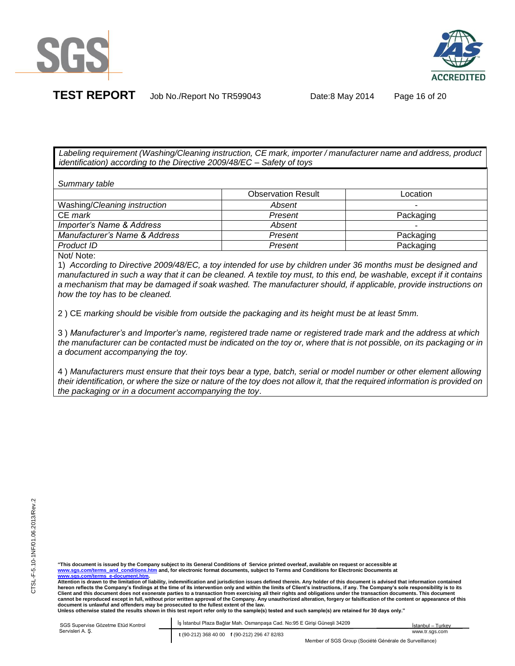



**TEST REPORT** Job No./Report No TR599043 Date:8 May 2014 Page 16 of 20

*Labeling requirement (Washing/Cleaning instruction, CE mark, importer / manufacturer name and address, product identification) according to the Directive 2009/48/EC – Safety of toys*

*Summary table* 

|                               | <b>Observation Result</b> | Location  |
|-------------------------------|---------------------------|-----------|
| Washing/Cleaning instruction  | Absent                    | -         |
| CE mark                       | Present                   | Packaging |
| Importer's Name & Address     | Absent                    | ۰         |
| Manufacturer's Name & Address | Present                   | Packaging |
| Product ID                    | Present                   | Packaging |
|                               |                           |           |

Not/ Note:

1) *According to Directive 2009/48/EC, a toy intended for use by children under 36 months must be designed and manufactured in such a way that it can be cleaned. A textile toy must, to this end, be washable, except if it contains a mechanism that may be damaged if soak washed. The manufacturer should, if applicable, provide instructions on how the toy has to be cleaned.*

2 ) CE *marking should be visible from outside the packaging and its height must be at least 5mm.* 

3 ) *Manufacturer's and Importer's name, registered trade name or registered trade mark and the address at which the manufacturer can be contacted must be indicated on the toy or, where that is not possible, on its packaging or in a document accompanying the toy.*

4 ) *Manufacturers must ensure that their toys bear a type, batch, serial or model number or other element allowing their identification, or where the size or nature of the toy does not allow it, that the required information is provided on the packaging or in a document accompanying the toy*.

"This document is issued by the Company subject to its General Conditions of Service printed overleaf, available on request or accessible at<br><u>www.sqs.com/terms and conditions.htm</u> and, for electronic format documents, s **www.sgs.com/terms\_e-document.htm.** 

**Attention is drawn to the limitation of liability, indemnification and jurisdiction issues defined therein. Any holder of this document is advised that information contained hereon reflects the Company's findings at the time of its intervention only and within the limits of Client's instructions, if any. The Company's sole responsibility is to its**  Client and this document does not exonerate parties to a transaction from exercising all their rights and obligations under the transaction documents. This document **cannot be reproduced except in full, without prior written approval of the Company. Any unauthorized alteration, forgery or falsification of the content or appearance of this document is unlawful and offenders may be prosecuted to the fullest extent of the law.**

**Unless otherwise stated the results shown in this test report refer only to the sample(s) tested and such sample(s) are retained for 30 days only."** 

| SGS Supervise Gözetme Etüd Kontrol | İş İstanbul Plaza Bağlar Mah. Osmanpaşa Cad. No:95 E Girisi Günesli 34209 | İstanbul - Turkev                                      |
|------------------------------------|---------------------------------------------------------------------------|--------------------------------------------------------|
| Servisleri A. S.                   | t (90-212) 368 40 00 f (90-212) 296 47 82/83                              | www.tr.sas.com                                         |
|                                    |                                                                           | Member of SGS Group (Société Générale de Surveillance) |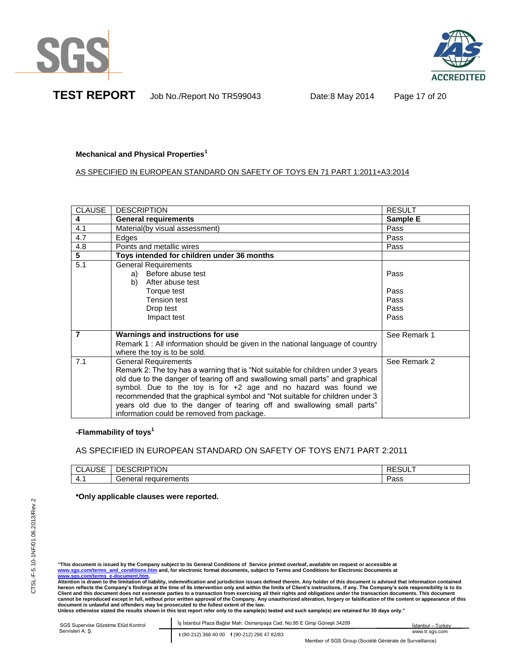



# **Mechanical and Physical Properties<sup>1</sup>**

# AS SPECIFIED IN EUROPEAN STANDARD ON SAFETY OF TOYS EN 71 PART 1:2011+A3:2014

| <b>CLAUSE</b> | <b>DESCRIPTION</b>                                                               | <b>RESULT</b> |
|---------------|----------------------------------------------------------------------------------|---------------|
| 4             | <b>General requirements</b>                                                      | Sample E      |
| 4.1           | Material(by visual assessment)                                                   | Pass          |
| 4.7           | Edges                                                                            | Pass          |
| 4.8           | Points and metallic wires                                                        | Pass          |
| 5             | Toys intended for children under 36 months                                       |               |
| 5.1           | <b>General Requirements</b>                                                      |               |
|               | Before abuse test<br>a)                                                          | Pass          |
|               | b)<br>After abuse test                                                           |               |
|               | Torque test                                                                      | Pass          |
|               | Tension test                                                                     | Pass          |
|               | Drop test                                                                        | Pass          |
|               | Impact test                                                                      | Pass          |
|               |                                                                                  |               |
| 7             | Warnings and instructions for use                                                | See Remark 1  |
|               | Remark 1: All information should be given in the national language of country    |               |
|               | where the toy is to be sold.                                                     |               |
| 7.1           | General Requirements                                                             | See Remark 2  |
|               | Remark 2: The toy has a warning that is "Not suitable for children under 3 years |               |
|               | old due to the danger of tearing off and swallowing small parts" and graphical   |               |
|               | symbol. Due to the toy is for $+2$ age and no hazard was found we                |               |
|               | recommended that the graphical symbol and "Not suitable for children under 3     |               |
|               | years old due to the danger of tearing off and swallowing small parts"           |               |
|               | information could be removed from package.                                       |               |

# **-Flammability of toys<sup>1</sup>**

# AS SPECIFIED IN EUROPEAN STANDARD ON SAFETY OF TOYS EN71 PART 2:2011

| $-$<br>$\mathbf{u}$<br>⊣טס<br>◡ | <b>SCRIPTION</b><br>⊣ו                              | ◝└◡◡└        |
|---------------------------------|-----------------------------------------------------|--------------|
| .                               | $\sim$ re<br>equirements"<br>$\sim$<br>-aner-<br>⊶. | Docc<br>-aoo |

## **\*Only applicable clauses were reported.**

"This document is issued by the Company subject to its General Conditions of Service printed overleaf, available on request or accessible at<br><u>www.sqs.com/terms and conditions.htm</u> and, for electronic format documents, s **www.sgs.com/terms\_e-document.htm.** 

**Attention is drawn to the limitation of liability, indemnification and jurisdiction issues defined therein. Any holder of this document is advised that information contained**  hereon reflects the Company's findings at the time of its intervention only and within the limits of Client's instructions, if any. The Company's sole responsibility is to its<br>Client and this document does not exonerate pa document is unlawful and offenders may be prosecuted to the fullest extent of the law.<br>Unless otherwise stated the results shown in this test report refer only to the sample(s) tested and such sample(s) are retained for 30

| SGS Supervise Gözetme Etüd Kontrol<br>Servisleri A. S. | İş İstanbul Plaza Bağlar Mah. Osmanpaşa Cad. No:95 E Girişi Güneşli 34209          | İstanbul – Turkev |
|--------------------------------------------------------|------------------------------------------------------------------------------------|-------------------|
|                                                        | t (90-212) 368 40 00 f (90-212) 296 47 82/83<br>$\sim$ $\sim$ $\sim$ $\sim$<br>. . | www.tr.sgs.com    |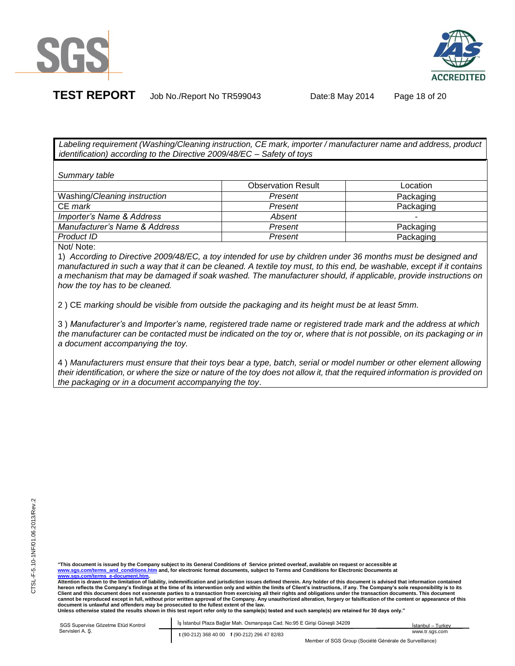



**TEST REPORT** Job No./Report No TR599043 Date:8 May 2014 Page 18 of 20

*Labeling requirement (Washing/Cleaning instruction, CE mark, importer / manufacturer name and address, product identification) according to the Directive 2009/48/EC – Safety of toys*

*Summary table* 

|                                                           | <b>Observation Result</b> | Location  |
|-----------------------------------------------------------|---------------------------|-----------|
| Washing/Cleaning instruction                              | Present                   | Packaging |
| CE mark                                                   | Present                   | Packaging |
| Importer's Name & Address                                 | Absent                    | -         |
| Manufacturer's Name & Address                             | Present                   | Packaging |
| Product ID                                                | Present                   | Packaging |
| $\mathbf{A}$ . $\mathbf{A}$ . $\mathbf{A}$ . $\mathbf{A}$ |                           |           |

Not/ Note:

1) *According to Directive 2009/48/EC, a toy intended for use by children under 36 months must be designed and manufactured in such a way that it can be cleaned. A textile toy must, to this end, be washable, except if it contains a mechanism that may be damaged if soak washed. The manufacturer should, if applicable, provide instructions on how the toy has to be cleaned.*

2 ) CE *marking should be visible from outside the packaging and its height must be at least 5mm.* 

3 ) *Manufacturer's and Importer's name, registered trade name or registered trade mark and the address at which the manufacturer can be contacted must be indicated on the toy or, where that is not possible, on its packaging or in a document accompanying the toy.*

4 ) *Manufacturers must ensure that their toys bear a type, batch, serial or model number or other element allowing their identification, or where the size or nature of the toy does not allow it, that the required information is provided on the packaging or in a document accompanying the toy*.

"This document is issued by the Company subject to its General Conditions of Service printed overleaf, available on request or accessible at<br><u>www.sqs.com/terms and conditions.htm</u> and, for electronic format documents, s **www.sgs.com/terms\_e-document.htm.** 

**Attention is drawn to the limitation of liability, indemnification and jurisdiction issues defined therein. Any holder of this document is advised that information contained hereon reflects the Company's findings at the time of its intervention only and within the limits of Client's instructions, if any. The Company's sole responsibility is to its**  Client and this document does not exonerate parties to a transaction from exercising all their rights and obligations under the transaction documents. This document **cannot be reproduced except in full, without prior written approval of the Company. Any unauthorized alteration, forgery or falsification of the content or appearance of this**  document is unlawful and offenders may be prosecuted to the fullest extent of the law.<br>Unless otherwise stated the results shown in this test report refer only to the sample(s) tested and such sample(s) are retained for 30

| SGS Supervise Gözetme Etüd Kontrol<br>Servisleri A. S. | İs İstanbul Plaza Bağlar Mah. Osmanpaşa Cad. No:95 E Girişi Güneşli 34209 | Istanbul - Turkey |
|--------------------------------------------------------|---------------------------------------------------------------------------|-------------------|
|                                                        | t (90-212) 368 40 00 f (90-212) 296 47 82/83                              | www.tr.sas.com    |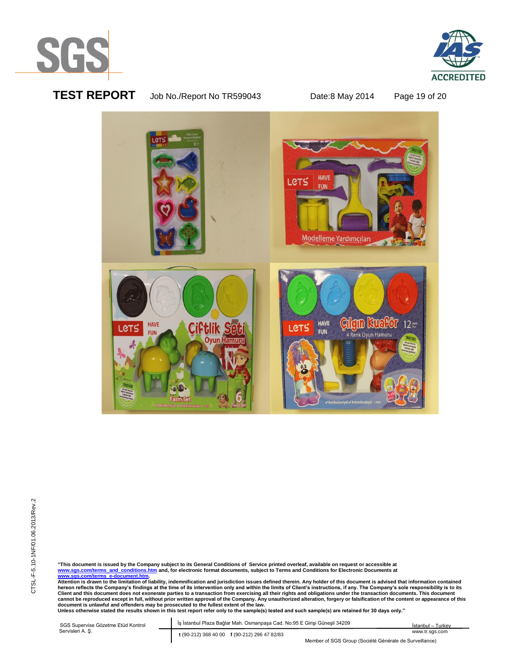



# **TEST REPORT** Job No./Report No TR599043 Date:8 May 2014 Page 19 of 20



"This document is issued by the Company subject to its General Conditions of Service printed overleaf, available on request or accessible at<br><u>www.sgs.com/terms\_and\_conditions.htm</u> and, for electronic format documents, sub

**Attention is drawn to the limitation of liability, indemnification and jurisdiction issues defined therein. Any holder of this document is advised that information contained**  hereon reflects the Company's findings at the time of its intervention only and within the limits of Client's instructions, if any. The Company's sole responsibility is to its<br>Client and this document does not exonerate pa